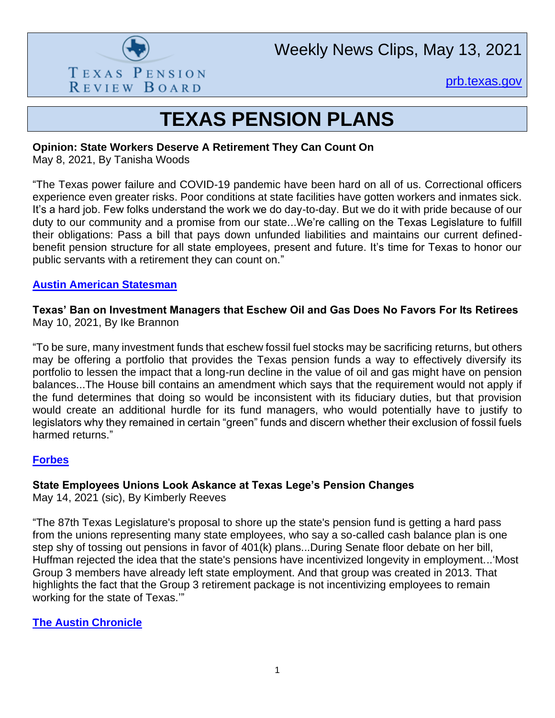

Weekly News Clips, May 13, 2021

[prb.texas.gov](http://www.prb.texas.gov/)

## **TEXAS PENSION PLANS**

### **Opinion: State Workers Deserve A Retirement They Can Count On**

May 8, 2021, By Tanisha Woods

"The Texas power failure and COVID-19 pandemic have been hard on all of us. Correctional officers experience even greater risks. Poor conditions at state facilities have gotten workers and inmates sick. It's a hard job. Few folks understand the work we do day-to-day. But we do it with pride because of our duty to our community and a promise from our state...We're calling on the Texas Legislature to fulfill their obligations: Pass a bill that pays down unfunded liabilities and maintains our current definedbenefit pension structure for all state employees, present and future. It's time for Texas to honor our public servants with a retirement they can count on."

#### **[Austin American Statesman](https://www.statesman.com/story/opinion/columns/your-voice/2021/05/08/texas-state-workers-deserve-better-retirement-opinion/4986889001/)**

### **Texas' Ban on Investment Managers that Eschew Oil and Gas Does No Favors For Its Retirees** May 10, 2021, By Ike Brannon

"To be sure, many investment funds that eschew fossil fuel stocks may be sacrificing returns, but others may be offering a portfolio that provides the Texas pension funds a way to effectively diversify its portfolio to lessen the impact that a long-run decline in the value of oil and gas might have on pension balances...The House bill contains an amendment which says that the requirement would not apply if the fund determines that doing so would be inconsistent with its fiduciary duties, but that provision would create an additional hurdle for its fund managers, who would potentially have to justify to legislators why they remained in certain "green" funds and discern whether their exclusion of fossil fuels harmed returns."

#### **[Forbes](https://www.forbes.com/sites/ikebrannon/2021/05/10/texas-ban-on-investment-managers-that-eschew-oil-and-gas-does-no-favors-for-its-retirees/?sh=18d3bb7b1626)**

#### **State Employees Unions Look Askance at Texas Lege's Pension Changes**

May 14, 2021 (sic), By Kimberly Reeves

"The 87th Texas Legislature's proposal to shore up the state's pension fund is getting a hard pass from the unions representing many state employees, who say a so-called cash balance plan is one step shy of tossing out pensions in favor of 401(k) plans...During Senate floor debate on her bill, Huffman rejected the idea that the state's pensions have incentivized longevity in employment...'Most Group 3 members have already left state employment. And that group was created in 2013. That highlights the fact that the Group 3 retirement package is not incentivizing employees to remain working for the state of Texas.'"

**[The Austin Chronicle](https://www.austinchronicle.com/news/2021-05-14/state-employee-unions-look-askance-at-texas-leges-pension-changes/)**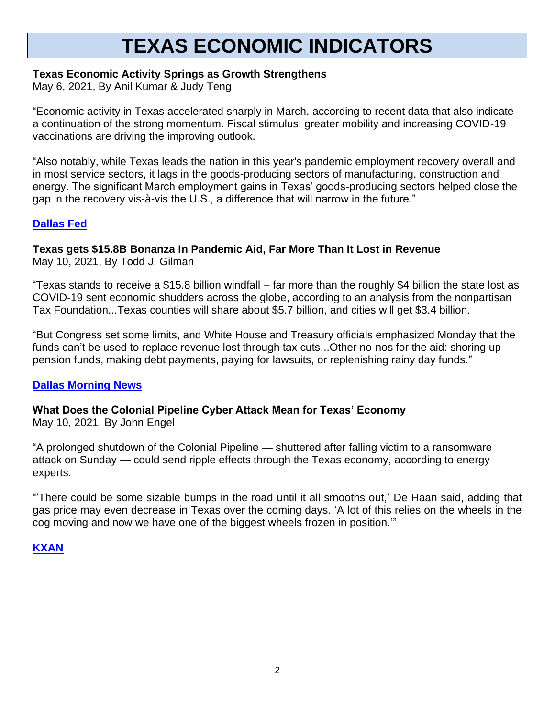# **TEXAS ECONOMIC INDICATORS**

## **Texas Economic Activity Springs as Growth Strengthens**

May 6, 2021, By Anil Kumar & Judy Teng

"Economic activity in Texas accelerated sharply in March, according to recent data that also indicate a continuation of the strong momentum. Fiscal stimulus, greater mobility and increasing COVID-19 vaccinations are driving the improving outlook.

"Also notably, while Texas leads the nation in this year's pandemic employment recovery overall and in most service sectors, it lags in the goods-producing sectors of manufacturing, construction and energy. The significant March employment gains in Texas' goods-producing sectors helped close the gap in the recovery vis-à-vis the U.S., a difference that will narrow in the future."

## **[Dallas Fed](https://www.dallasfed.org/research/economics/2021/0506)**

## **Texas gets \$15.8B Bonanza In Pandemic Aid, Far More Than It Lost in Revenue**

May 10, 2021, By Todd J. Gilman

"Texas stands to receive a \$15.8 billion windfall – far more than the roughly \$4 billion the state lost as COVID-19 sent economic shudders across the globe, according to an analysis from the nonpartisan Tax Foundation...Texas counties will share about \$5.7 billion, and cities will get \$3.4 billion.

"But Congress set some limits, and White House and Treasury officials emphasized Monday that the funds can't be used to replace revenue lost through tax cuts...Other no-nos for the aid: shoring up pension funds, making debt payments, paying for lawsuits, or replenishing rainy day funds."

## **[Dallas Morning News](https://webcache.googleusercontent.com/search?q=cache:J-PeyqdIlX0J:https://www.dallasnews.com/news/politics/2021/05/10/texas-gets-158b-bonanza-in-pandemic-aid-far-more-than-it-lost-in-revenue/+&cd=1&hl=en&ct=clnk&gl=us)**

**What Does the Colonial Pipeline Cyber Attack Mean for Texas' Economy** May 10, 2021, By John Engel

"A prolonged shutdown of the Colonial Pipeline — shuttered after falling victim to a ransomware attack on Sunday — could send ripple effects through the Texas economy, according to energy experts.

"'There could be some sizable bumps in the road until it all smooths out,' De Haan said, adding that gas price may even decrease in Texas over the coming days. 'A lot of this relies on the wheels in the cog moving and now we have one of the biggest wheels frozen in position.'"

## **[KXAN](https://www.kxan.com/news/business/what-does-the-colonial-pipeline-cyber-attack-mean-for-texas-economy/)**